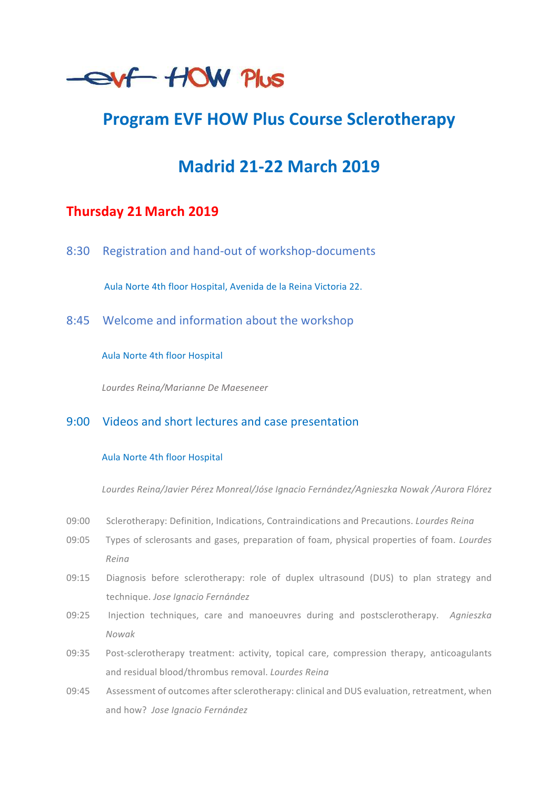

# **Program EVF HOW Plus Course Sclerotherapy**

# **Madrid 21-22 March 2019**

# **Thursday 21 March 2019**

8:30 Registration and hand-out of workshop-documents

Aula Norte 4th floor Hospital, Avenida de la Reina Victoria 22.

8:45 Welcome and information about the workshop

Aula Norte 4th floor Hospital

*Lourdes Reina/Marianne De Maeseneer*

## 9:00 Videos and short lectures and case presentation

#### Aula Norte 4th floor Hospital

*Lourdes Reina/Javier Pérez Monreal/Jóse Ignacio Fernández/Agnieszka Nowak /Aurora Flórez*

- 09:00 Sclerotherapy: Definition, Indications, Contraindications and Precautions. *Lourdes Reing*
- 09:05 Types of sclerosants and gases, preparation of foam, physical properties of foam. *Lourdes Reina*
- 09:15 Diagnosis before sclerotherapy: role of duplex ultrasound (DUS) to plan strategy and technique. *Jose Ignacio Fernández*
- 09:25 Injection techniques, care and manoeuvres during and postsclerotherapy. Agnieszka *Nowak*
- 09:35 Post-sclerotherapy treatment: activity, topical care, compression therapy, anticoagulants and residual blood/thrombus removal. *Lourdes Reing*
- 09:45 Assessment of outcomes after sclerotherapy: clinical and DUS evaluation, retreatment, when and how? Jose Ignacio Fernández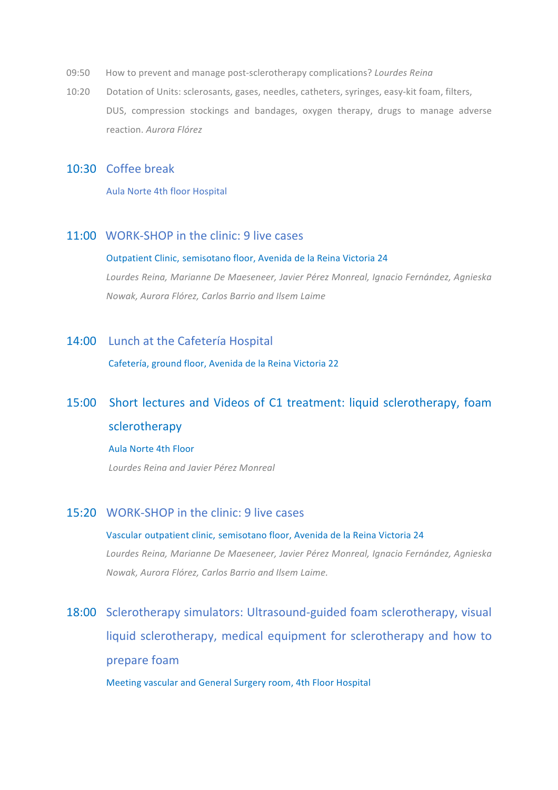- 09:50 How to prevent and manage post-sclerotherapy complications? *Lourdes Reina*
- 10:20 Dotation of Units: sclerosants, gases, needles, catheters, syringes, easy-kit foam, filters, DUS, compression stockings and bandages, oxygen therapy, drugs to manage adverse reaction. *Aurora Flórez*

#### 10:30 Coffee break

Aula Norte 4th floor Hospital

## 11:00 WORK-SHOP in the clinic: 9 live cases

#### Outpatient Clinic, semisotano floor, Avenida de la Reina Victoria 24

*Lourdes Reina, Marianne De Maeseneer, Javier Pérez Monreal, Ignacio Fernández, Agnieska Nowak, Aurora Flórez, Carlos Barrio and Ilsem Laime*

#### 14:00 Lunch at the Cafetería Hospital

Cafetería, ground floor, Avenida de la Reina Victoria 22

# 15:00 Short lectures and Videos of C1 treatment: liquid sclerotherapy, foam sclerotherapy

#### Aula Norte 4th Floor

*Lourdes Reina and Javier Pérez Monreal*

## 15:20 WORK-SHOP in the clinic: 9 live cases

# Vascular outpatient clinic, semisotano floor, Avenida de la Reina Victoria 24 Lourdes Reina, Marianne De Maeseneer, Javier Pérez Monreal, Ignacio Fernández, Agnieska *Nowak, Aurora Flórez, Carlos Barrio and Ilsem Laime.*

18:00 Sclerotherapy simulators: Ultrasound-guided foam sclerotherapy, visual liquid sclerotherapy, medical equipment for sclerotherapy and how to prepare foam

Meeting vascular and General Surgery room, 4th Floor Hospital